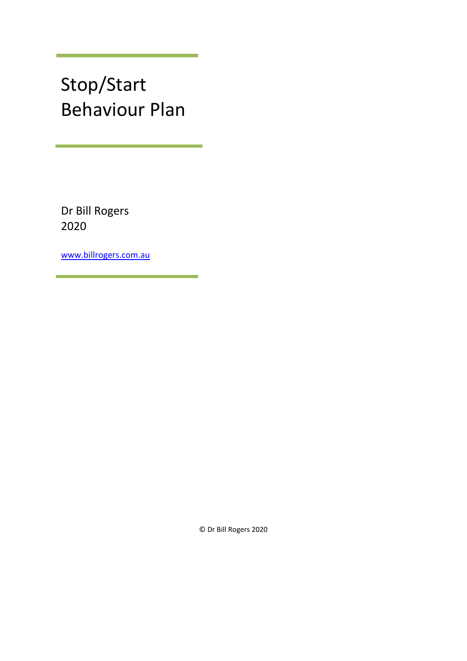## Stop/Start Behaviour Plan

Dr Bill Rogers 2020

[www.billrogers.com.au](http://www.billrogers.com.au/)

© Dr Bill Rogers 2020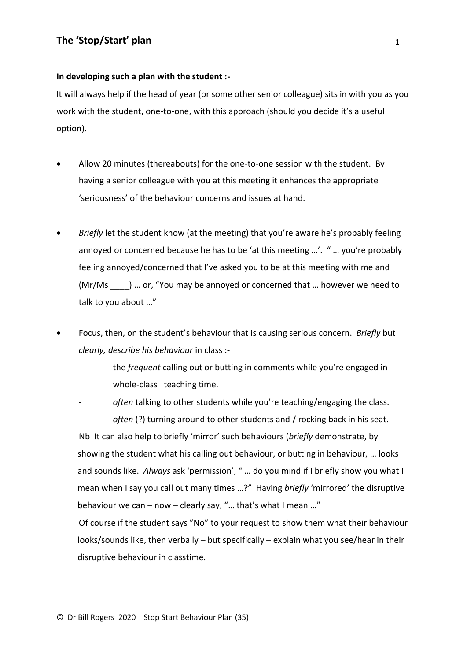## **In developing such a plan with the student :-**

It will always help if the head of year (or some other senior colleague) sits in with you as you work with the student, one-to-one, with this approach (should you decide it's a useful option).

- Allow 20 minutes (thereabouts) for the one-to-one session with the student. By having a senior colleague with you at this meeting it enhances the appropriate 'seriousness' of the behaviour concerns and issues at hand.
- *Briefly* let the student know (at the meeting) that you're aware he's probably feeling annoyed or concerned because he has to be 'at this meeting …'. " … you're probably feeling annoyed/concerned that I've asked you to be at this meeting with me and (Mr/Ms \_\_\_\_) … or, "You may be annoyed or concerned that … however we need to talk to you about …"
- Focus, then, on the student's behaviour that is causing serious concern. *Briefly* but *clearly, describe his behaviour* in class :
	- the *frequent* calling out or butting in comments while you're engaged in whole-class teaching time.
	- often talking to other students while you're teaching/engaging the class.

often (?) turning around to other students and / rocking back in his seat. Nb It can also help to briefly 'mirror' such behaviours (*briefly* demonstrate, by showing the student what his calling out behaviour, or butting in behaviour, … looks and sounds like. *Always* ask 'permission', " … do you mind if I briefly show you what I mean when I say you call out many times …?" Having *briefly* 'mirrored' the disruptive behaviour we can – now – clearly say, "… that's what I mean …"

Of course if the student says "No" to your request to show them what their behaviour looks/sounds like, then verbally – but specifically – explain what you see/hear in their disruptive behaviour in classtime.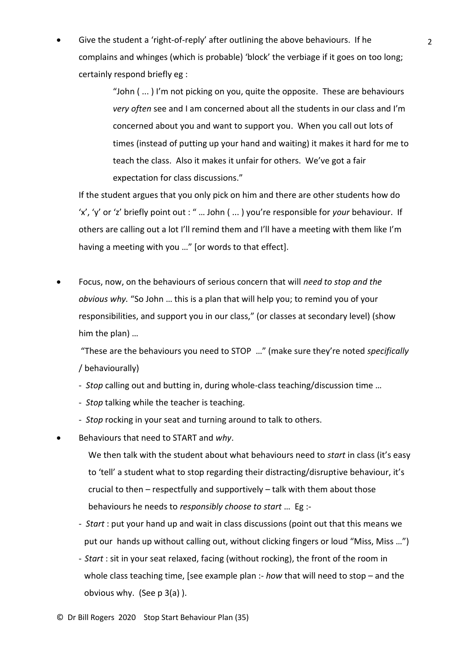• Give the student a 'right-of-reply' after outlining the above behaviours. If he complains and whinges (which is probable) 'block' the verbiage if it goes on too long; certainly respond briefly eg :

> "John ( ... ) I'm not picking on you, quite the opposite. These are behaviours *very often* see and I am concerned about all the students in our class and I'm concerned about you and want to support you. When you call out lots of times (instead of putting up your hand and waiting) it makes it hard for me to teach the class. Also it makes it unfair for others. We've got a fair expectation for class discussions."

If the student argues that you only pick on him and there are other students how do 'x', 'y' or 'z' briefly point out : " … John ( ... ) you're responsible for *your* behaviour. If others are calling out a lot I'll remind them and I'll have a meeting with them like I'm having a meeting with you …" [or words to that effect].

• Focus, now, on the behaviours of serious concern that will *need to stop and the obvious why.* "So John … this is a plan that will help you; to remind you of your responsibilities, and support you in our class," (or classes at secondary level) (show him the plan) …

"These are the behaviours you need to STOP …" (make sure they're noted *specifically* / behaviourally)

- *Stop* calling out and butting in, during whole-class teaching/discussion time …
- *Stop* talking while the teacher is teaching.
- *Stop* rocking in your seat and turning around to talk to others.
- Behaviours that need to START and *why*.

We then talk with the student about what behaviours need to *start* in class (it's easy to 'tell' a student what to stop regarding their distracting/disruptive behaviour, it's crucial to then – respectfully and supportively – talk with them about those behaviours he needs to *responsibly choose to start* … Eg :-

- *Start* : put your hand up and wait in class discussions (point out that this means we put our hands up without calling out, without clicking fingers or loud "Miss, Miss …")
- *Start* : sit in your seat relaxed, facing (without rocking), the front of the room in whole class teaching time, [see example plan :- *how* that will need to stop – and the obvious why. (See p 3(a) ).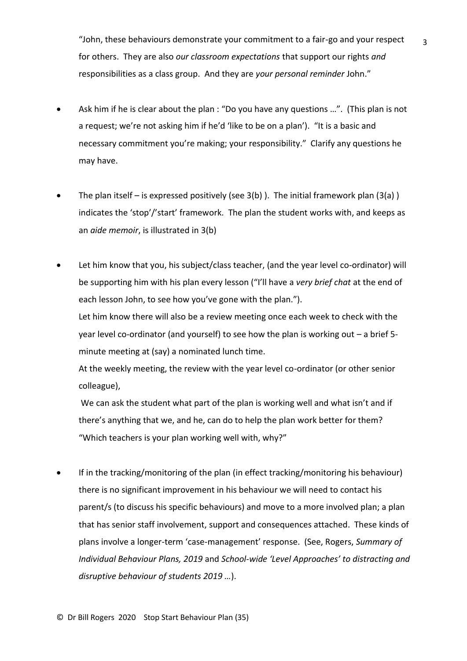"John, these behaviours demonstrate your commitment to a fair-go and your respect for others. They are also *our classroom expectations* that support our rights *and* responsibilities as a class group. And they are *your personal reminder* John."

3

- Ask him if he is clear about the plan : "Do you have any questions …". (This plan is not a request; we're not asking him if he'd 'like to be on a plan'). "It is a basic and necessary commitment you're making; your responsibility." Clarify any questions he may have.
- The plan itself is expressed positively (see  $3(b)$ ). The initial framework plan  $(3(a))$ indicates the 'stop'/'start' framework. The plan the student works with, and keeps as an *aide memoir*, is illustrated in 3(b)
- Let him know that you, his subject/class teacher, (and the year level co-ordinator) will be supporting him with his plan every lesson ("I'll have a *very brief chat* at the end of each lesson John, to see how you've gone with the plan."). Let him know there will also be a review meeting once each week to check with the year level co-ordinator (and yourself) to see how the plan is working out – a brief 5 minute meeting at (say) a nominated lunch time.

At the weekly meeting, the review with the year level co-ordinator (or other senior colleague),

We can ask the student what part of the plan is working well and what isn't and if there's anything that we, and he, can do to help the plan work better for them? "Which teachers is your plan working well with, why?"

If in the tracking/monitoring of the plan (in effect tracking/monitoring his behaviour) there is no significant improvement in his behaviour we will need to contact his parent/s (to discuss his specific behaviours) and move to a more involved plan; a plan that has senior staff involvement, support and consequences attached. These kinds of plans involve a longer-term 'case-management' response. (See, Rogers, *Summary of Individual Behaviour Plans, 2019* and *School-wide 'Level Approaches' to distracting and disruptive behaviour of students 2019 …*).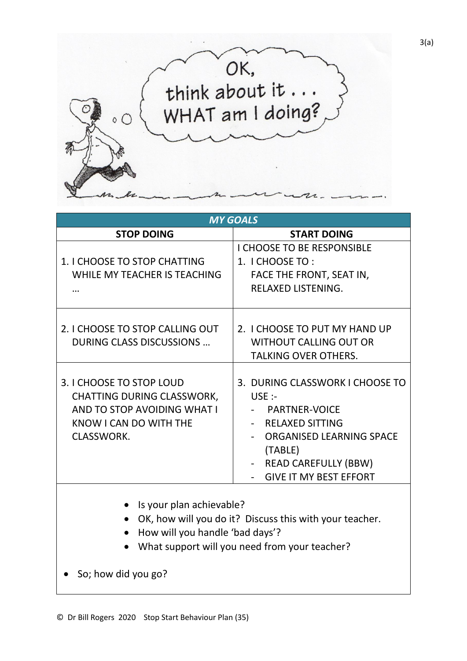

| <b>MY GOALS</b>                                                                                                                                                         |                                                                                                                                                                                                  |
|-------------------------------------------------------------------------------------------------------------------------------------------------------------------------|--------------------------------------------------------------------------------------------------------------------------------------------------------------------------------------------------|
| <b>STOP DOING</b>                                                                                                                                                       | <b>START DOING</b>                                                                                                                                                                               |
| 1. I CHOOSE TO STOP CHATTING<br>WHILE MY TEACHER IS TEACHING                                                                                                            | <b>I CHOOSE TO BE RESPONSIBLE</b><br>1. I CHOOSE TO:<br>FACE THE FRONT, SEAT IN,<br><b>RELAXED LISTENING.</b>                                                                                    |
| 2. I CHOOSE TO STOP CALLING OUT<br>DURING CLASS DISCUSSIONS                                                                                                             | 2. I CHOOSE TO PUT MY HAND UP<br><b>WITHOUT CALLING OUT OR</b><br><b>TALKING OVER OTHERS.</b>                                                                                                    |
| 3. I CHOOSE TO STOP LOUD<br><b>CHATTING DURING CLASSWORK,</b><br>AND TO STOP AVOIDING WHAT I<br>KNOW I CAN DO WITH THE<br><b>CLASSWORK.</b>                             | 3. DURING CLASSWORK I CHOOSE TO<br>USE:<br><b>PARTNER-VOICE</b><br><b>RELAXED SITTING</b><br>ORGANISED LEARNING SPACE<br>(TABLE)<br><b>READ CAREFULLY (BBW)</b><br><b>GIVE IT MY BEST EFFORT</b> |
| Is your plan achievable?<br>OK, how will you do it? Discuss this with your teacher.<br>How will you handle 'bad days'?<br>What support will you need from your teacher? |                                                                                                                                                                                                  |

• So; how did you go?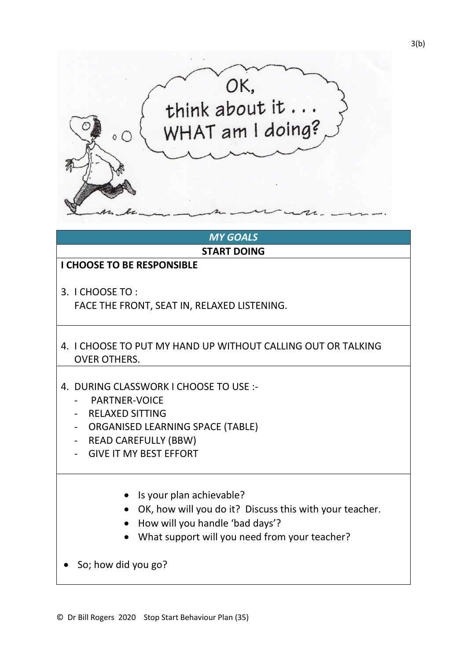

## *MY GOALS*

**START DOING**

## **I CHOOSE TO BE RESPONSIBLE**

3. I CHOOSE TO :

FACE THE FRONT, SEAT IN, RELAXED LISTENING.

- 4. I CHOOSE TO PUT MY HAND UP WITHOUT CALLING OUT OR TALKING OVER OTHERS.
- 4. DURING CLASSWORK I CHOOSE TO USE :-
	- PARTNER-VOICE
	- RELAXED SITTING
	- ORGANISED LEARNING SPACE (TABLE)
	- READ CAREFULLY (BBW)
	- GIVE IT MY BEST EFFORT
		- Is your plan achievable?
		- OK, how will you do it? Discuss this with your teacher.
		- How will you handle 'bad days'?
		- What support will you need from your teacher?

• So; how did you go?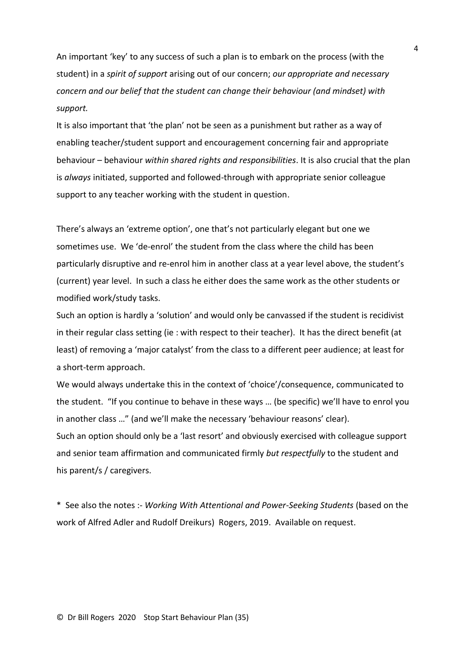An important 'key' to any success of such a plan is to embark on the process (with the student) in a *spirit of support* arising out of our concern; *our appropriate and necessary concern and our belief that the student can change their behaviour (and mindset) with support.*

It is also important that 'the plan' not be seen as a punishment but rather as a way of enabling teacher/student support and encouragement concerning fair and appropriate behaviour – behaviour *within shared rights and responsibilities*. It is also crucial that the plan is *always* initiated, supported and followed-through with appropriate senior colleague support to any teacher working with the student in question.

There's always an 'extreme option', one that's not particularly elegant but one we sometimes use. We 'de-enrol' the student from the class where the child has been particularly disruptive and re-enrol him in another class at a year level above, the student's (current) year level. In such a class he either does the same work as the other students or modified work/study tasks.

Such an option is hardly a 'solution' and would only be canvassed if the student is recidivist in their regular class setting (ie : with respect to their teacher). It has the direct benefit (at least) of removing a 'major catalyst' from the class to a different peer audience; at least for a short-term approach.

We would always undertake this in the context of 'choice'/consequence, communicated to the student. "If you continue to behave in these ways … (be specific) we'll have to enrol you in another class …" (and we'll make the necessary 'behaviour reasons' clear). Such an option should only be a 'last resort' and obviously exercised with colleague support and senior team affirmation and communicated firmly *but respectfully* to the student and his parent/s / caregivers.

\* See also the notes :- *Working With Attentional and Power-Seeking Students* (based on the work of Alfred Adler and Rudolf Dreikurs) Rogers, 2019. Available on request.